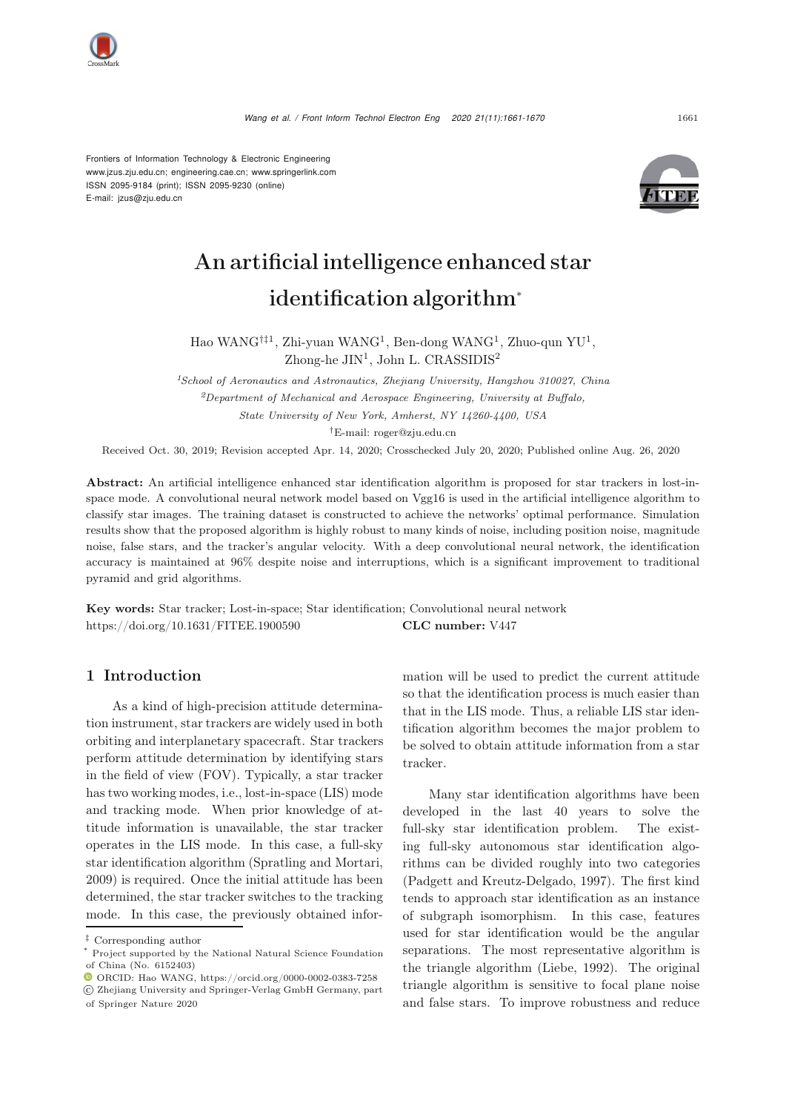

Frontiers of Information Technology & Electronic Engineering [www.jzus.zju.edu.cn;](www.jzus.zju.edu.cn) [engineering.cae.cn;](engineering.cae.cn)<www.springerlink.com> ISSN 2095-9184 (print); ISSN 2095-9230 (online) E-mail: jzus@zju.edu.cn



# An artificial intelligence enhanced star identification algorithm<sup>∗</sup>

Hao WANG†‡<sup>1</sup>, Zhi-yuan WANG<sup>1</sup>, Ben-dong WANG<sup>1</sup>, Zhuo-qun YU<sup>1</sup>, Zhong-he JIN<sup>1</sup>, John L. CRASSIDIS<sup>2</sup>

*<sup>1</sup>School of Aeronautics and Astronautics, Zhejiang University, Hangzhou 310027, China <sup>2</sup>Department of Mechanical and Aerospace Engineering, University at Buffalo, State University of New York, Amherst, NY 14260-4400, USA*

†E-mail: roger@zju.edu.cn

Received Oct. 30, 2019; Revision accepted Apr. 14, 2020; Crosschecked July 20, 2020; Published online Aug. 26, 2020

Abstract: An artificial intelligence enhanced star identification algorithm is proposed for star trackers in lost-inspace mode. A convolutional neural network model based on Vgg16 is used in the artificial intelligence algorithm to classify star images. The training dataset is constructed to achieve the networks' optimal performance. Simulation results show that the proposed algorithm is highly robust to many kinds of noise, including position noise, magnitude noise, false stars, and the tracker's angular velocity. With a deep convolutional neural network, the identification accuracy is maintained at 96% despite noise and interruptions, which is a significant improvement to traditional pyramid and grid algorithms.

Key words: Star tracker; Lost-in-space; Star identification; Convolutional neural network https://doi.org/10.1631/FITEE.1900590 CLC number: V447

# 1 Introduction

As a kind of high-precision attitude determination instrument, star trackers are widely used in both orbiting and interplanetary spacecraft. Star trackers perform attitude determination by identifying stars in the field of view (FOV). Typically, a star tracker has two working modes, i.e., lost-in-space (LIS) mode and tracking mode. When prior knowledge of attitude information is unavailable, the star tracker operates in the LIS mode. In this case, a full-sky star identification algorithm [\(Spratling and Mortari,](#page-9-0) [2009](#page-9-0)) is required. Once the initial attitude has been determined, the star tracker switches to the tracking mode. In this case, the previously obtained information will be used to predict the current attitude so that the identification process is much easier than that in the LIS mode. Thus, a reliable LIS star identification algorithm becomes the major problem to be solved to obtain attitude information from a star tracker.

Many star identification algorithms have been developed in the last 40 years to solve the full-sky star identification problem. The existing full-sky autonomous star identification algorithms can be divided roughly into two categories [\(Padgett and Kreutz-Delgado, 1997\)](#page-9-1). The first kind tends to approach star identification as an instance of subgraph isomorphism. In this case, features used for star identification would be the angular separations. The most representative algorithm is the triangle algorithm [\(Liebe, 1992\)](#page-9-2). The original triangle algorithm is sensitive to focal plane noise and false stars. To improve robustness and reduce

<sup>‡</sup> Corresponding author

<sup>\*</sup> Project supported by the National Natural Science Foundation of China (No. 6152403)

ORCID: Hao WANG, https://orcid.org/0000-0002-0383-7258

c Zhejiang University and Springer-Verlag GmbH Germany, part of Springer Nature 2020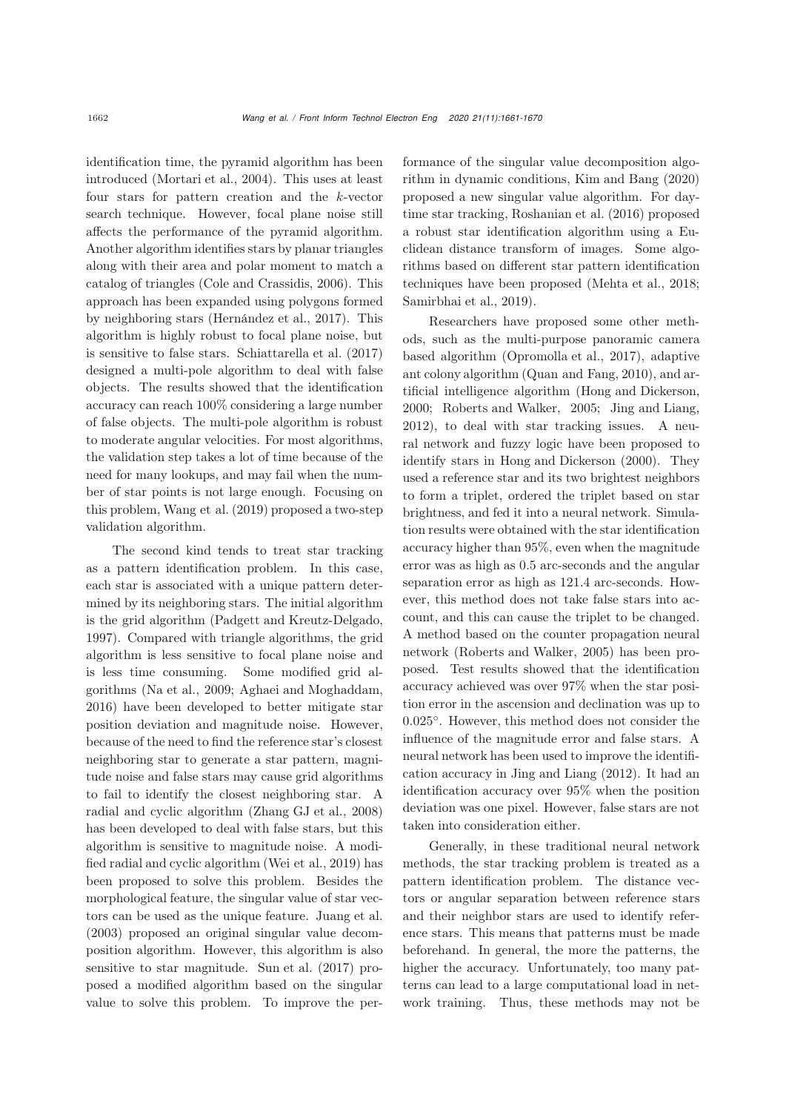identification time, the pyramid algorithm has been introduced [\(Mortari et al.](#page-9-3), [2004](#page-9-3)). This uses at least four stars for pattern creation and the k-vector search technique. However, focal plane noise still affects the performance of the pyramid algorithm. Another algorithm identifies stars by planar triangles along with their area and polar moment to match a catalog of triangles [\(Cole and Crassidis, 2006](#page-8-0)). This approach has been expanded using polygons formed by neighboring stars [\(Hernández et al., 2017\)](#page-8-1). This algorithm is highly robust to focal plane noise, but is sensitive to false stars. [Schiattarella et al.](#page-9-4) [\(2017](#page-9-4)) designed a multi-pole algorithm to deal with false objects. The results showed that the identification accuracy can reach 100% considering a large number of false objects. The multi-pole algorithm is robust to moderate angular velocities. For most algorithms, the validation step takes a lot of time because of the need for many lookups, and may fail when the number of star points is not large enough. Focusing on this problem, [Wang et al.](#page-9-5) [\(2019\)](#page-9-5) proposed a two-step validation algorithm.

The second kind tends to treat star tracking as a pattern identification problem. In this case, each star is associated with a unique pattern determined by its neighboring stars. The initial algorithm is the grid algorithm [\(Padgett and Kreutz-Delgado,](#page-9-1) [1997](#page-9-1)). Compared with triangle algorithms, the grid algorithm is less sensitive to focal plane noise and is less time consuming. Some modified grid algorithms [\(Na et al.](#page-9-6), [2009;](#page-9-6) [Aghaei and Moghaddam,](#page-8-2) [2016](#page-8-2)) have been developed to better mitigate star position deviation and magnitude noise. However, because of the need to find the reference star's closest neighboring star to generate a star pattern, magnitude noise and false stars may cause grid algorithms to fail to identify the closest neighboring star. A radial and cyclic algorithm [\(Zhang GJ et al., 2008\)](#page-9-7) has been developed to deal with false stars, but this algorithm is sensitive to magnitude noise. A modified radial and cyclic algorithm [\(Wei et al., 2019\)](#page-9-8) has been proposed to solve this problem. Besides the morphological feature, the singular value of star vectors can be used as the unique feature. [Juang et al.](#page-8-3) [\(2003](#page-8-3)) proposed an original singular value decomposition algorithm. However, this algorithm is also sensitive to star magnitude. [Sun et al.](#page-9-9) [\(2017\)](#page-9-9) proposed a modified algorithm based on the singular value to solve this problem. To improve the performance of the singular value decomposition algorithm in dynamic conditions, [Kim and Bang](#page-8-4) [\(2020](#page-8-4)) proposed a new singular value algorithm. For daytime star tracking, [Roshanian et al.](#page-9-10) [\(2016\)](#page-9-10) proposed a robust star identification algorithm using a Euclidean distance transform of images. Some algorithms based on different star pattern identification techniques have been proposed [\(Mehta et al., 2018;](#page-9-11) [Samirbhai et al.](#page-9-12), [2019\)](#page-9-12).

Researchers have proposed some other methods, such as the multi-purpose panoramic camera based algorithm [\(Opromolla et al., 2017\)](#page-9-13), adaptive ant colony algorithm [\(Quan and Fang](#page-9-14), [2010\)](#page-9-14), and artificial intelligence algorithm [\(Hong and Dickerson,](#page-8-5) [2000](#page-8-5); [Roberts and Walker](#page-9-15), [2005](#page-9-15); [Jing and Liang](#page-8-6), [2012](#page-8-6)), to deal with star tracking issues. A neural network and fuzzy logic have been proposed to identify stars in [Hong and Dickerson](#page-8-5) [\(2000\)](#page-8-5). They used a reference star and its two brightest neighbors to form a triplet, ordered the triplet based on star brightness, and fed it into a neural network. Simulation results were obtained with the star identification accuracy higher than 95%, even when the magnitude error was as high as 0.5 arc-seconds and the angular separation error as high as 121.4 arc-seconds. However, this method does not take false stars into account, and this can cause the triplet to be changed. A method based on the counter propagation neural network [\(Roberts and Walker, 2005\)](#page-9-15) has been proposed. Test results showed that the identification accuracy achieved was over 97% when the star position error in the ascension and declination was up to 0.025◦. However, this method does not consider the influence of the magnitude error and false stars. A neural network has been used to improve the identification accuracy in [Jing and Liang](#page-8-6) [\(2012\)](#page-8-6). It had an identification accuracy over 95% when the position deviation was one pixel. However, false stars are not taken into consideration either.

Generally, in these traditional neural network methods, the star tracking problem is treated as a pattern identification problem. The distance vectors or angular separation between reference stars and their neighbor stars are used to identify reference stars. This means that patterns must be made beforehand. In general, the more the patterns, the higher the accuracy. Unfortunately, too many patterns can lead to a large computational load in network training. Thus, these methods may not be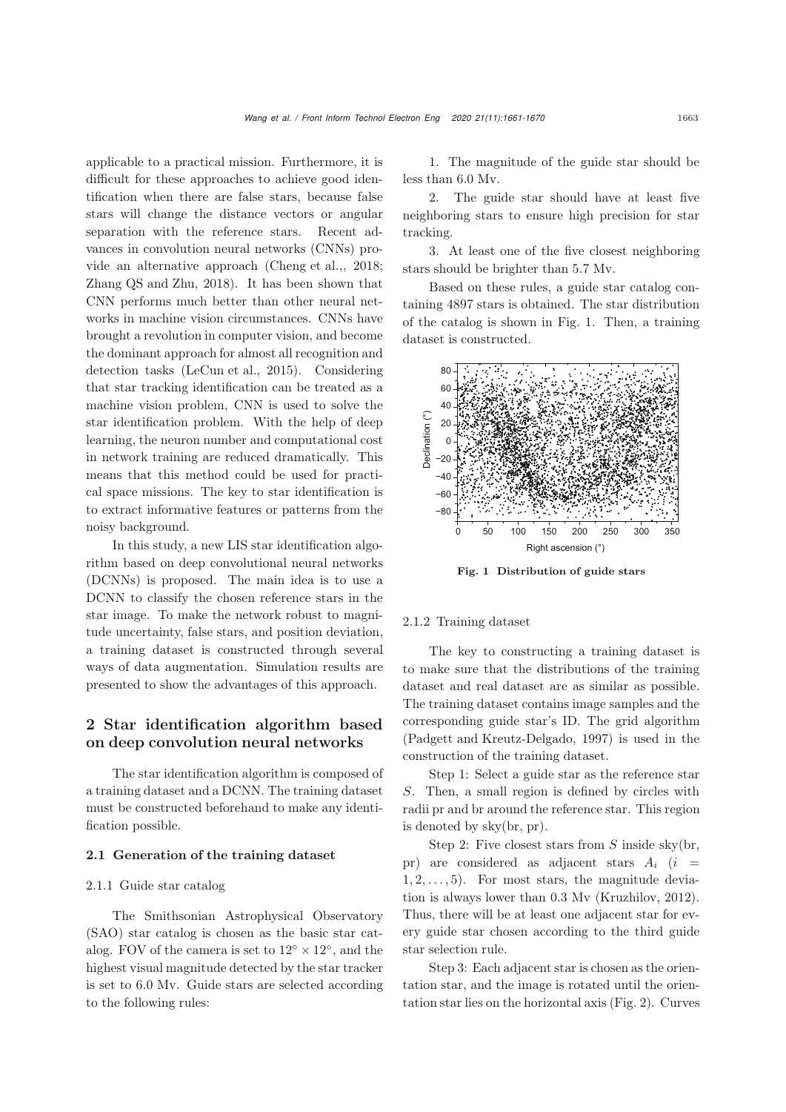applicable to a practical mission. Furthermore, it is difficult for these approaches to achieve good identification when there are false stars, because false stars will change the distance vectors or angular separation with the reference stars. Recent advances in convolution neural networks (CNNs) provide an alternative approach [\(Cheng et al.,, 2018;](#page-8-7) [Zhang QS and Zhu](#page-9-16), [2018\)](#page-9-16). It has been shown that CNN performs much better than other neural networks in machine vision circumstances. CNNs have brought a revolution in computer vision, and become the dominant approach for almost all recognition and detection tasks [\(LeCun et al., 2015\)](#page-9-17). Considering that star tracking identification can be treated as a machine vision problem, CNN is used to solve the star identification problem. With the help of deep learning, the neuron number and computational cost in network training are reduced dramatically. This means that this method could be used for practical space missions. The key to star identification is to extract informative features or patterns from the noisy background.

In this study, a new LIS star identification algorithm based on deep convolutional neural networks (DCNNs) is proposed. The main idea is to use a DCNN to classify the chosen reference stars in the star image. To make the network robust to magnitude uncertainty, false stars, and position deviation, a training dataset is constructed through several ways of data augmentation. Simulation results are presented to show the advantages of this approach.

# 2 Star identification algorithm based on deep convolution neural networks

The star identification algorithm is composed of a training dataset and a DCNN. The training dataset must be constructed beforehand to make any identification possible.

#### 2.1 Generation of the training dataset

#### 2.1.1 Guide star catalog

The Smithsonian Astrophysical Observatory (SAO) star catalog is chosen as the basic star catalog. FOV of the camera is set to  $12° \times 12°$ , and the highest visual magnitude detected by the star tracker is set to 6.0 Mv. Guide stars are selected according to the following rules:

1. The magnitude of the guide star should be less than 6.0 Mv.

2. The guide star should have at least five neighboring stars to ensure high precision for star tracking.

3. At least one of the five closest neighboring stars should be brighter than 5.7 Mv.

Based on these rules, a guide star catalog containing 4897 stars is obtained. The star distribution of the catalog is shown in Fig. [1.](#page-2-0) Then, a training dataset is constructed.



<span id="page-2-0"></span>Fig. 1 Distribution of guide stars

#### 2.1.2 Training dataset

The key to constructing a training dataset is to make sure that the distributions of the training dataset and real dataset are as similar as possible. The training dataset contains image samples and the corresponding guide star's ID. The grid algorithm [\(Padgett and Kreutz-Delgado, 1997\)](#page-9-1) is used in the construction of the training dataset.

Step 1: Select a guide star as the reference star S. Then, a small region is defined by circles with radii pr and br around the reference star. This region is denoted by sky(br, pr).

Step 2: Five closest stars from  $S$  inside sky(br, pr) are considered as adjacent stars  $A_i$  (i =  $1, 2, \ldots, 5$ . For most stars, the magnitude deviation is always lower than 0.3 Mv [\(Kruzhilov, 2012\)](#page-9-18). Thus, there will be at least one adjacent star for every guide star chosen according to the third guide star selection rule.

Step 3: Each adjacent star is chosen as the orientation star, and the image is rotated until the orientation star lies on the horizontal axis (Fig. [2\)](#page-3-0). Curves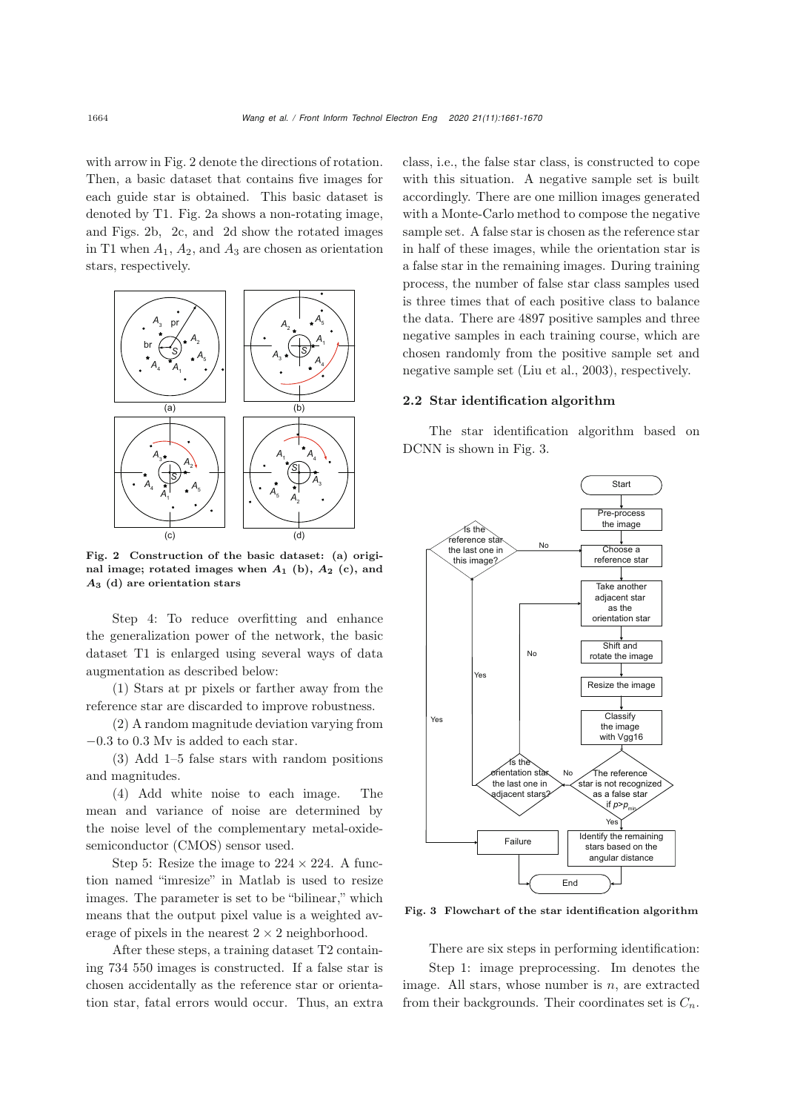with arrow in Fig. [2](#page-3-0) denote the directions of rotation. Then, a basic dataset that contains five images for each guide star is obtained. This basic dataset is denoted by T1. Fig. [2a](#page-3-0) shows a non-rotating image, and Figs. [2b](#page-3-0), [2c](#page-3-0), and [2d](#page-3-0) show the rotated images in T1 when  $A_1$ ,  $A_2$ , and  $A_3$  are chosen as orientation stars, respectively.



<span id="page-3-0"></span>Fig. 2 Construction of the basic dataset: (a) original image; rotated images when *A***<sup>1</sup>** (b), *A***<sup>2</sup>** (c), and *A***<sup>3</sup>** (d) are orientation stars

Step 4: To reduce overfitting and enhance the generalization power of the network, the basic dataset T1 is enlarged using several ways of data augmentation as described below:

(1) Stars at pr pixels or farther away from the reference star are discarded to improve robustness.

(2) A random magnitude deviation varying from −0.3 to 0.3 Mv is added to each star.

(3) Add 1–5 false stars with random positions and magnitudes.

(4) Add white noise to each image. The mean and variance of noise are determined by the noise level of the complementary metal-oxidesemiconductor (CMOS) sensor used.

Step 5: Resize the image to  $224 \times 224$ . A function named "imresize" in Matlab is used to resize images. The parameter is set to be "bilinear," which means that the output pixel value is a weighted average of pixels in the nearest  $2 \times 2$  neighborhood.

After these steps, a training dataset T2 containing 734 550 images is constructed. If a false star is chosen accidentally as the reference star or orientation star, fatal errors would occur. Thus, an extra

class, i.e., the false star class, is constructed to cope with this situation. A negative sample set is built accordingly. There are one million images generated with a Monte-Carlo method to compose the negative sample set. A false star is chosen as the reference star in half of these images, while the orientation star is a false star in the remaining images. During training process, the number of false star class samples used is three times that of each positive class to balance the data. There are 4897 positive samples and three negative samples in each training course, which are chosen randomly from the positive sample set and negative sample set [\(Liu et al.](#page-9-19), [2003\)](#page-9-19), respectively.

# 2.2 Star identification algorithm

The star identification algorithm based on DCNN is shown in Fig. [3.](#page-3-1)



Fig. 3 Flowchart of the star identification algorithm

<span id="page-3-1"></span>There are six steps in performing identification:

Step 1: image preprocessing. Im denotes the image. All stars, whose number is  $n$ , are extracted from their backgrounds. Their coordinates set is  $C_n$ .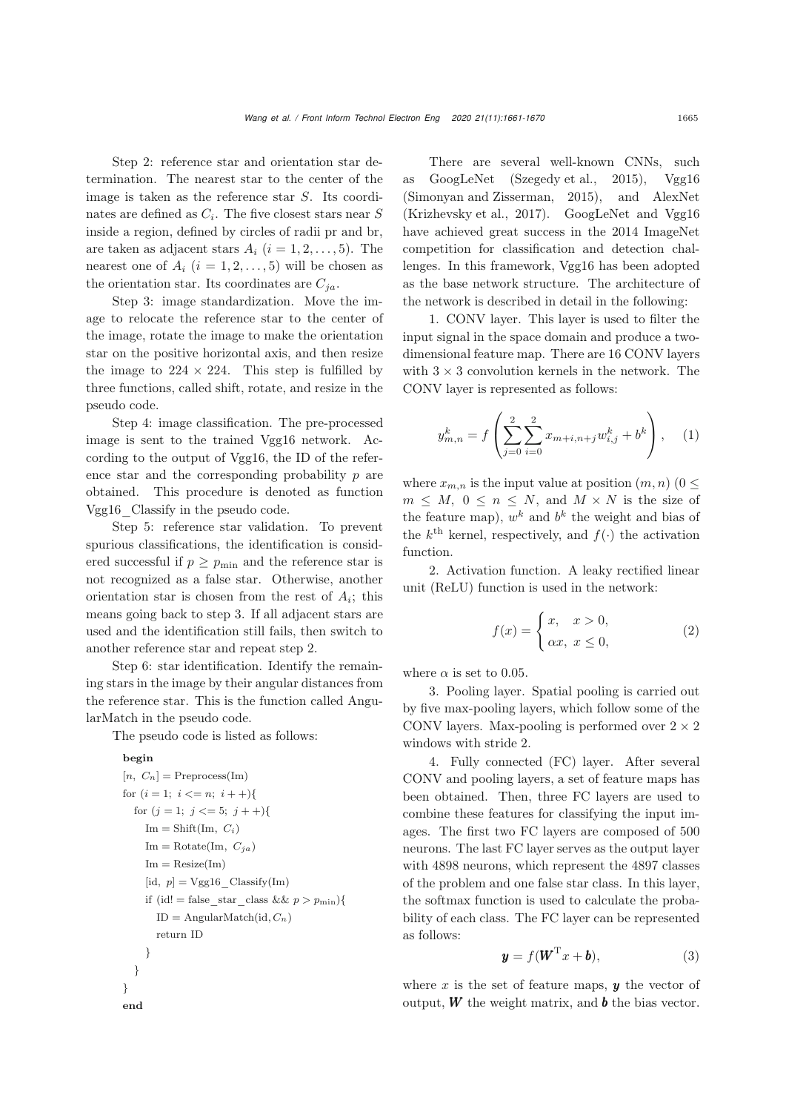Step 2: reference star and orientation star determination. The nearest star to the center of the image is taken as the reference star S. Its coordinates are defined as  $C_i$ . The five closest stars near  $S$ inside a region, defined by circles of radii pr and br, are taken as adjacent stars  $A_i$   $(i = 1, 2, \ldots, 5)$ . The nearest one of  $A_i$   $(i = 1, 2, \ldots, 5)$  will be chosen as the orientation star. Its coordinates are  $C_{ja}$ .

Step 3: image standardization. Move the image to relocate the reference star to the center of the image, rotate the image to make the orientation star on the positive horizontal axis, and then resize the image to  $224 \times 224$ . This step is fulfilled by three functions, called shift, rotate, and resize in the pseudo code.

Step 4: image classification. The pre-processed image is sent to the trained Vgg16 network. According to the output of Vgg16, the ID of the reference star and the corresponding probability  $p$  are obtained. This procedure is denoted as function Vgg16\_Classify in the pseudo code.

Step 5: reference star validation. To prevent spurious classifications, the identification is considered successful if  $p \ge p_{\min}$  and the reference star is not recognized as a false star. Otherwise, another orientation star is chosen from the rest of  $A_i$ ; this means going back to step 3. If all adjacent stars are used and the identification still fails, then switch to another reference star and repeat step 2.

Step 6: star identification. Identify the remaining stars in the image by their angular distances from the reference star. This is the function called AngularMatch in the pseudo code.

The pseudo code is listed as follows:

#### begin

```
[n, C_n] = \text{Preprocess}(\text{Im})for (i = 1; i \leq n; i + \frac{1}{2})for (j = 1; j \leq 5; j + +){
    Im = Shift(Im, C_i)Im = Rotate(Im, C<sub>ja</sub>)Im = Resize(Im)[id, p] = Vgg16 Classify(Im)
    if (id! = false_star_class && p > p_{\text{min}}){
       ID = AngularMatch(id, Cn)
       return ID
    }
  }
}
end
```
There are several well-known CNNs, such as GoogLeNet [\(Szegedy et al.](#page-9-20), [2015\)](#page-9-20), Vgg16 [\(Simonyan and Zisserman](#page-9-21), [2015\)](#page-9-21), and AlexNet [\(Krizhevsky et al.](#page-9-22), [2017](#page-9-22)). GoogLeNet and Vgg16 have achieved great success in the 2014 ImageNet competition for classification and detection challenges. In this framework, Vgg16 has been adopted as the base network structure. The architecture of the network is described in detail in the following:

1. CONV layer. This layer is used to filter the input signal in the space domain and produce a twodimensional feature map. There are 16 CONV layers with  $3 \times 3$  convolution kernels in the network. The CONV layer is represented as follows:

$$
y_{m,n}^k = f\left(\sum_{j=0}^2 \sum_{i=0}^2 x_{m+i,n+j} w_{i,j}^k + b^k\right), \quad (1)
$$

where  $x_{m,n}$  is the input value at position  $(m, n)$  ( $0 \leq$  $m \leq M$ ,  $0 \leq n \leq N$ , and  $M \times N$  is the size of the feature map),  $w^k$  and  $b^k$  the weight and bias of the  $k^{\text{th}}$  kernel, respectively, and  $f(\cdot)$  the activation function.

2. Activation function. A leaky rectified linear unit (ReLU) function is used in the network:

$$
f(x) = \begin{cases} x, & x > 0, \\ \alpha x, & x \le 0, \end{cases}
$$
 (2)

where  $\alpha$  is set to 0.05.

3. Pooling layer. Spatial pooling is carried out by five max-pooling layers, which follow some of the CONV layers. Max-pooling is performed over  $2 \times 2$ windows with stride 2.

4. Fully connected (FC) layer. After several CONV and pooling layers, a set of feature maps has been obtained. Then, three FC layers are used to combine these features for classifying the input images. The first two FC layers are composed of 500 neurons. The last FC layer serves as the output layer with 4898 neurons, which represent the 4897 classes of the problem and one false star class. In this layer, the softmax function is used to calculate the probability of each class. The FC layer can be represented as follows:

$$
\mathbf{y} = f(\mathbf{W}^{\mathrm{T}} \mathbf{x} + \mathbf{b}), \tag{3}
$$

where  $x$  is the set of feature maps,  $y$  the vector of output,  $W$  the weight matrix, and  $\boldsymbol{b}$  the bias vector.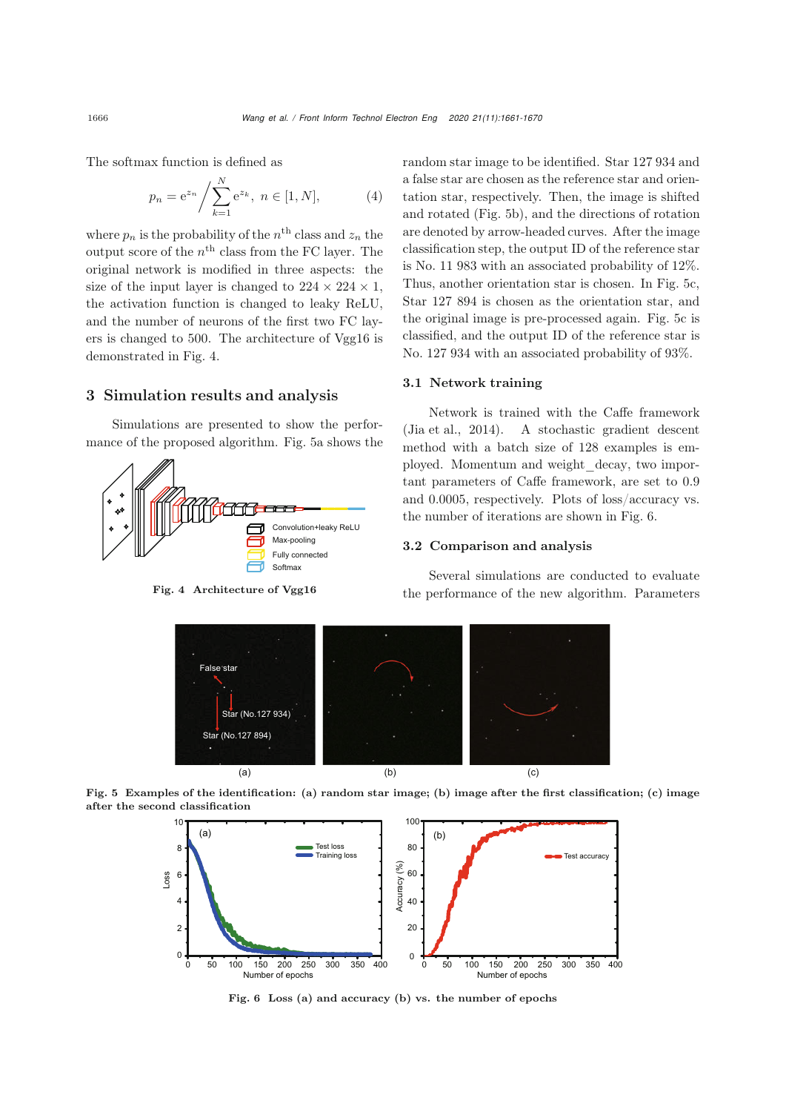The softmax function is defined as

$$
p_n = e^{z_n} / \sum_{k=1}^{N} e^{z_k}, \ n \in [1, N], \tag{4}
$$

where  $p_n$  is the probability of the  $n^{\text{th}}$  class and  $z_n$  the output score of the  $n^{\rm th}$  class from the FC layer. The original network is modified in three aspects: the size of the input layer is changed to  $224 \times 224 \times 1$ , the activation function is changed to leaky ReLU, and the number of neurons of the first two FC layers is changed to 500. The architecture of Vgg16 is demonstrated in Fig. [4.](#page-5-0)

# 3 Simulation results and analysis

Simulations are presented to show the performance of the proposed algorithm. Fig. [5a](#page-5-1) shows the



Fig. 4 Architecture of Vgg16

random star image to be identified. Star 127 934 and a false star are chosen as the reference star and orientation star, respectively. Then, the image is shifted and rotated (Fig. [5b](#page-5-1)), and the directions of rotation are denoted by arrow-headed curves. After the image classification step, the output ID of the reference star is No. 11 983 with an associated probability of 12%. Thus, another orientation star is chosen. In Fig. [5c](#page-5-1), Star 127 894 is chosen as the orientation star, and the original image is pre-processed again. Fig. [5c](#page-5-1) is classified, and the output ID of the reference star is No. 127 934 with an associated probability of 93%.

## 3.1 Network training

Network is trained with the Caffe framework [\(Jia et al., 2014](#page-8-8)). A stochastic gradient descent method with a batch size of 128 examples is employed. Momentum and weight\_decay, two important parameters of Caffe framework, are set to 0.9 and 0.0005, respectively. Plots of loss/accuracy vs. the number of iterations are shown in Fig. [6.](#page-5-2)

#### 3.2 Comparison and analysis

Several simulations are conducted to evaluate the performance of the new algorithm. Parameters

<span id="page-5-0"></span>

Fig. 5 Examples of the identification: (a) random star image; (b) image after the first classification; (c) image after the second classification

<span id="page-5-1"></span>

<span id="page-5-2"></span>Fig. 6 Loss (a) and accuracy (b) vs. the number of epochs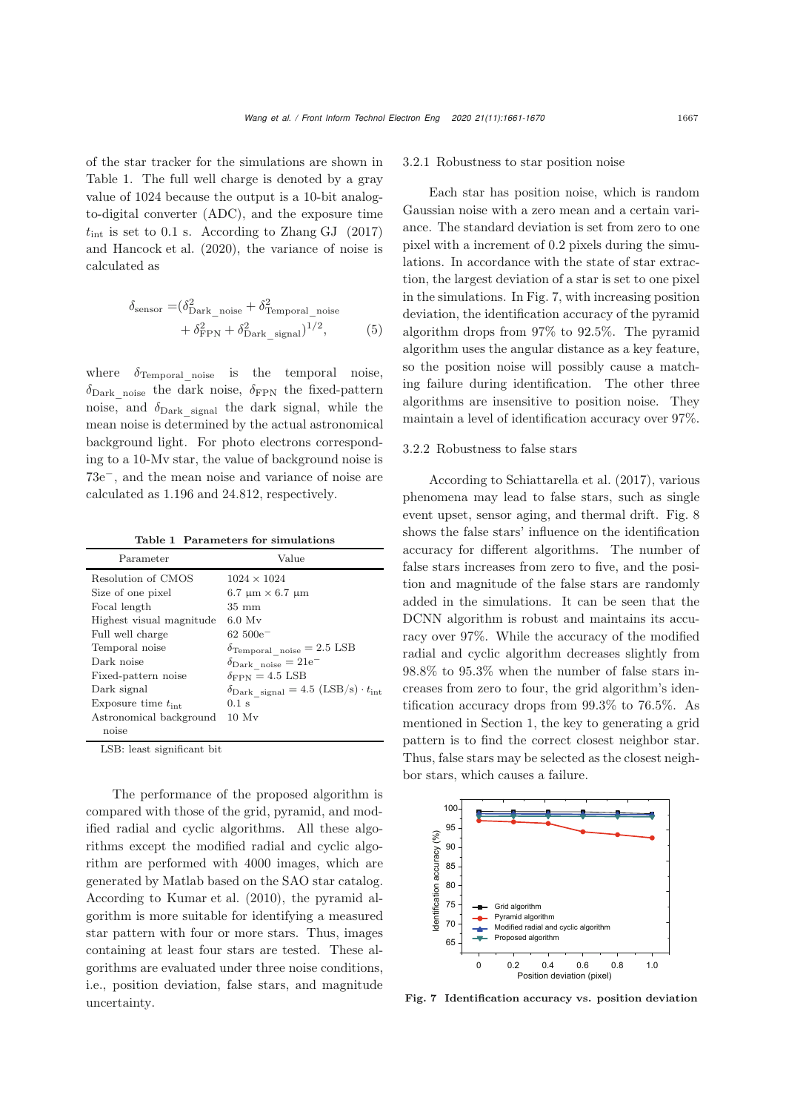of the star tracker for the simulations are shown in Table [1.](#page-6-0) The full well charge is denoted by a gray value of 1024 because the output is a 10-bit analogto-digital converter (ADC), and the exposure time  $t_{\text{int}}$  is set to 0.1 s. According to [Zhang GJ](#page-9-23) [\(2017](#page-9-23)) and [Hancock et al.](#page-8-9) [\(2020\)](#page-8-9), the variance of noise is calculated as

$$
\delta_{\text{sensor}} = (\delta_{\text{Dark\_noise}}^2 + \delta_{\text{Temporal\_noise}}^2 + \delta_{\text{FPN}}^2 + \delta_{\text{Dark\_signal}}^2)^{1/2},\tag{5}
$$

where  $\delta_{\text{Temporal\_noise}}$  is the temporal noise,  $\delta_{\text{Dark noise}}$  the dark noise,  $\delta_{\text{FPN}}$  the fixed-pattern noise, and  $\delta_{\text{Dark signal}}$  the dark signal, while the mean noise is determined by the actual astronomical background light. For photo electrons corresponding to a 10-Mv star, the value of background noise is 73e−, and the mean noise and variance of noise are calculated as 1.196 and 24.812, respectively.

<span id="page-6-0"></span>Table 1 Parameters for simulations

| Parameter                          | Value                                                                    |
|------------------------------------|--------------------------------------------------------------------------|
| Resolution of CMOS                 | $1024 \times 1024$                                                       |
| Size of one pixel                  | $6.7 \text{ }\mu\text{m} \times 6.7 \text{ }\mu\text{m}$                 |
| Focal length                       | $35 \text{ mm}$                                                          |
| Highest visual magnitude           | $6.0 \text{ M}v$                                                         |
| Full well charge                   | $62\,500e^-$                                                             |
| Temporal noise                     | $\delta$ Temporal noise = 2.5 LSB                                        |
| Dark noise                         | $\delta_{\text{Dark noise}} = 21e^{-}$                                   |
| Fixed-pattern noise                | $\delta_{\rm FPN} = 4.5$ LSB                                             |
| Dark signal                        | $\delta_{\text{Dark signal}} = 4.5 \text{ (LSB/s)} \cdot t_{\text{int}}$ |
| Exposure time $t_{\text{int}}$     | $0.1$ s                                                                  |
| Astronomical background            | 10 Mv                                                                    |
| noise                              |                                                                          |
| <b>TOD</b> 1 . <b>1</b> . 10 . 11. |                                                                          |

LSB: least significant bit

The performance of the proposed algorithm is compared with those of the grid, pyramid, and modified radial and cyclic algorithms. All these algorithms except the modified radial and cyclic algorithm are performed with 4000 images, which are generated by Matlab based on the SAO star catalog. According to [Kumar et al.](#page-9-24) [\(2010\)](#page-9-24), the pyramid algorithm is more suitable for identifying a measured star pattern with four or more stars. Thus, images containing at least four stars are tested. These algorithms are evaluated under three noise conditions, i.e., position deviation, false stars, and magnitude uncertainty.

#### 3.2.1 Robustness to star position noise

Each star has position noise, which is random Gaussian noise with a zero mean and a certain variance. The standard deviation is set from zero to one pixel with a increment of 0.2 pixels during the simulations. In accordance with the state of star extraction, the largest deviation of a star is set to one pixel in the simulations. In Fig. [7,](#page-6-1) with increasing position deviation, the identification accuracy of the pyramid algorithm drops from 97% to 92.5%. The pyramid algorithm uses the angular distance as a key feature, so the position noise will possibly cause a matching failure during identification. The other three algorithms are insensitive to position noise. They maintain a level of identification accuracy over 97%.

#### 3.2.2 Robustness to false stars

According to [Schiattarella et al.](#page-9-4) [\(2017\)](#page-9-4), various phenomena may lead to false stars, such as single event upset, sensor aging, and thermal drift. Fig. [8](#page-7-0) shows the false stars' influence on the identification accuracy for different algorithms. The number of false stars increases from zero to five, and the position and magnitude of the false stars are randomly added in the simulations. It can be seen that the DCNN algorithm is robust and maintains its accuracy over 97%. While the accuracy of the modified radial and cyclic algorithm decreases slightly from 98.8% to 95.3% when the number of false stars increases from zero to four, the grid algorithm's identification accuracy drops from 99.3% to 76.5%. As mentioned in Section 1, the key to generating a grid pattern is to find the correct closest neighbor star. Thus, false stars may be selected as the closest neighbor stars, which causes a failure.



<span id="page-6-1"></span>Fig. 7 Identification accuracy vs. position deviation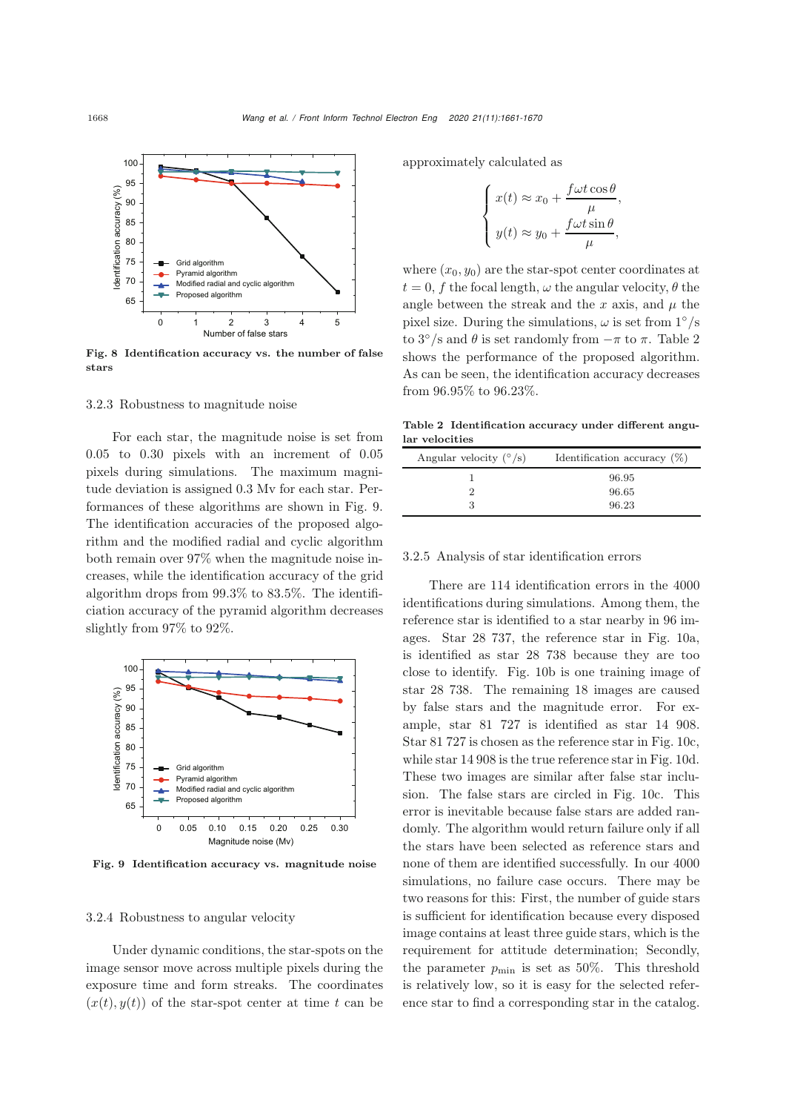

<span id="page-7-0"></span>Fig. 8 Identification accuracy vs. the number of false stars

#### 3.2.3 Robustness to magnitude noise

For each star, the magnitude noise is set from 0.05 to 0.30 pixels with an increment of 0.05 pixels during simulations. The maximum magnitude deviation is assigned 0.3 Mv for each star. Performances of these algorithms are shown in Fig. [9.](#page-7-1) The identification accuracies of the proposed algorithm and the modified radial and cyclic algorithm both remain over 97% when the magnitude noise increases, while the identification accuracy of the grid algorithm drops from 99.3% to 83.5%. The identificiation accuracy of the pyramid algorithm decreases slightly from 97% to 92%.



<span id="page-7-1"></span>Fig. 9 Identification accuracy vs. magnitude noise

## 3.2.4 Robustness to angular velocity

Under dynamic conditions, the star-spots on the image sensor move across multiple pixels during the exposure time and form streaks. The coordinates  $(x(t), y(t))$  of the star-spot center at time t can be

approximately calculated as

$$
\left\{ \begin{aligned} x(t) &\approx x_0 + \frac{f\omega t \cos \theta}{\mu}, \\ y(t) &\approx y_0 + \frac{f\omega t \sin \theta}{\mu}, \end{aligned} \right.
$$

where  $(x_0, y_0)$  are the star-spot center coordinates at  $t = 0$ , f the focal length,  $\omega$  the angular velocity,  $\theta$  the angle between the streak and the x axis, and  $\mu$  the pixel size. During the simulations,  $\omega$  is set from  $1°/s$ to  $3^{\circ}/s$  and  $\theta$  is set randomly from  $-\pi$  to  $\pi$ . Table [2](#page-7-2) shows the performance of the proposed algorithm. As can be seen, the identification accuracy decreases from 96.95% to 96.23%.

Table 2 Identification accuracy under different angular velocities

<span id="page-7-2"></span>

| Angular velocity $(^{\circ}/s)$ | Identification accuracy $(\%)$ |
|---------------------------------|--------------------------------|
|                                 | 96.95                          |
|                                 | 96.65                          |
|                                 | 96.23                          |

# 3.2.5 Analysis of star identification errors

There are 114 identification errors in the 4000 identifications during simulations. Among them, the reference star is identified to a star nearby in 96 images. Star 28 737, the reference star in Fig. [10a](#page-8-10), is identified as star 28 738 because they are too close to identify. Fig. [10b](#page-8-10) is one training image of star 28 738. The remaining 18 images are caused by false stars and the magnitude error. For example, star 81 727 is identified as star 14 908. Star 81 727 is chosen as the reference star in Fig. [10c](#page-8-10), while star 14 908 is the true reference star in Fig. [10d](#page-8-10). These two images are similar after false star inclusion. The false stars are circled in Fig. [10c](#page-8-10). This error is inevitable because false stars are added randomly. The algorithm would return failure only if all the stars have been selected as reference stars and none of them are identified successfully. In our 4000 simulations, no failure case occurs. There may be two reasons for this: First, the number of guide stars is sufficient for identification because every disposed image contains at least three guide stars, which is the requirement for attitude determination; Secondly, the parameter  $p_{\min}$  is set as 50%. This threshold is relatively low, so it is easy for the selected reference star to find a corresponding star in the catalog.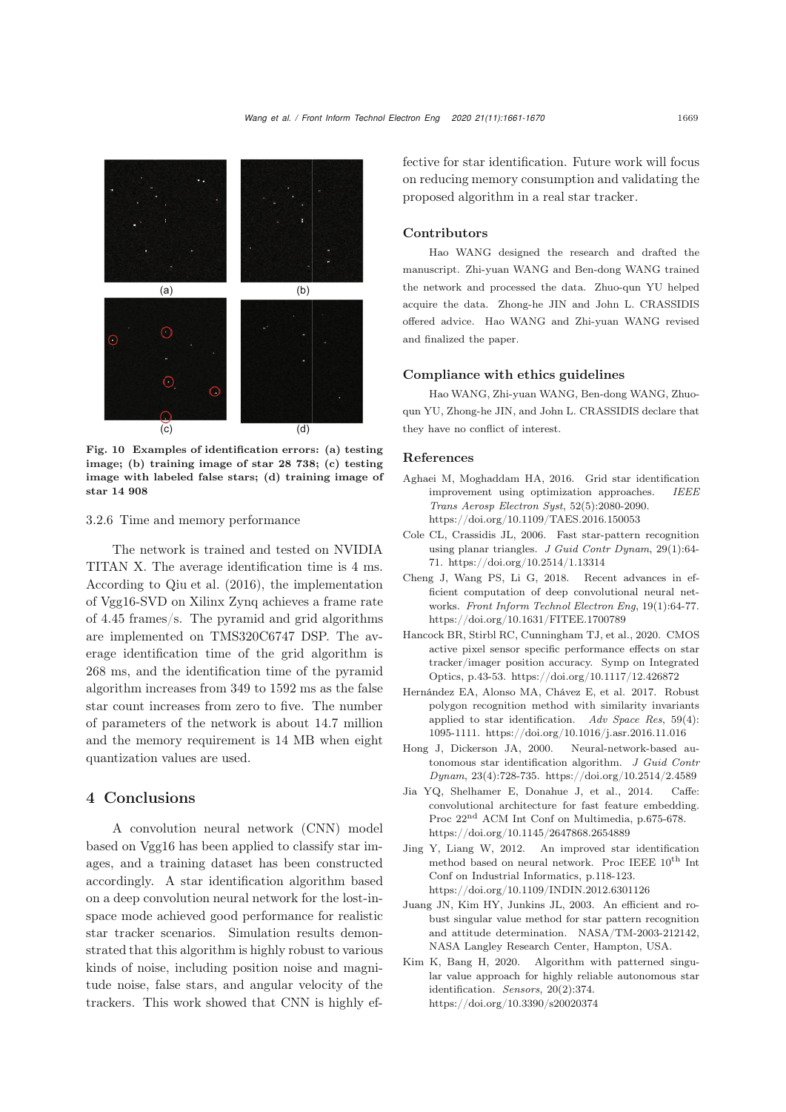

(a) (b) (c) (d)

<span id="page-8-10"></span>Fig. 10 Examples of identification errors: (a) testing image; (b) training image of star 28 738; (c) testing image with labeled false stars; (d) training image of star 14 908

## 3.2.6 Time and memory performance

The network is trained and tested on NVIDIA TITAN X. The average identification time is 4 ms. According to [Qiu et al.](#page-9-25) [\(2016](#page-9-25)), the implementation of Vgg16-SVD on Xilinx Zynq achieves a frame rate of 4.45 frames/s. The pyramid and grid algorithms are implemented on TMS320C6747 DSP. The average identification time of the grid algorithm is 268 ms, and the identification time of the pyramid algorithm increases from 349 to 1592 ms as the false star count increases from zero to five. The number of parameters of the network is about 14.7 million and the memory requirement is 14 MB when eight quantization values are used.

# 4 Conclusions

A convolution neural network (CNN) model based on Vgg16 has been applied to classify star images, and a training dataset has been constructed accordingly. A star identification algorithm based on a deep convolution neural network for the lost-inspace mode achieved good performance for realistic star tracker scenarios. Simulation results demonstrated that this algorithm is highly robust to various kinds of noise, including position noise and magnitude noise, false stars, and angular velocity of the trackers. This work showed that CNN is highly effective for star identification. Future work will focus on reducing memory consumption and validating the proposed algorithm in a real star tracker.

# Contributors

Hao WANG designed the research and drafted the manuscript. Zhi-yuan WANG and Ben-dong WANG trained the network and processed the data. Zhuo-qun YU helped acquire the data. Zhong-he JIN and John L. CRASSIDIS offered advice. Hao WANG and Zhi-yuan WANG revised and finalized the paper.

# Compliance with ethics guidelines

Hao WANG, Zhi-yuan WANG, Ben-dong WANG, Zhuoqun YU, Zhong-he JIN, and John L. CRASSIDIS declare that they have no conflict of interest.

# References

- <span id="page-8-2"></span>Aghaei M, Moghaddam HA, 2016. Grid star identification improvement using optimization approaches. *IEEE Trans Aerosp Electron Syst*, 52(5):2080-2090. https://doi.org/10.1109/TAES.2016.150053
- <span id="page-8-0"></span>Cole CL, Crassidis JL, 2006. Fast star-pattern recognition using planar triangles. *J Guid Contr Dynam*, 29(1):64- 71. https://doi.org/10.2514/1.13314
- <span id="page-8-7"></span>Cheng J, Wang PS, Li G, 2018. Recent advances in efficient computation of deep convolutional neural networks. *Front Inform Technol Electron Eng*, 19(1):64-77. https://doi.org/10.1631/FITEE.1700789
- <span id="page-8-9"></span>Hancock BR, Stirbl RC, Cunningham TJ, et al., 2020. CMOS active pixel sensor specific performance effects on star tracker/imager position accuracy. Symp on Integrated Optics, p.43-53. https://doi.org/10.1117/12.426872
- <span id="page-8-1"></span>Hernández EA, Alonso MA, Chávez E, et al. 2017. Robust polygon recognition method with similarity invariants applied to star identification. *Adv Space Res*, 59(4): 1095-1111. https://doi.org/10.1016/j.asr.2016.11.016
- <span id="page-8-5"></span>Hong J, Dickerson JA, 2000. Neural-network-based autonomous star identification algorithm. *J Guid Contr Dynam*, 23(4):728-735. https://doi.org/10.2514/2.4589
- <span id="page-8-8"></span>Jia YQ, Shelhamer E, Donahue J, et al., 2014. Caffe: convolutional architecture for fast feature embedding. Proc 22nd ACM Int Conf on Multimedia, p.675-678. https://doi.org/10.1145/2647868.2654889
- <span id="page-8-6"></span>Jing Y, Liang W, 2012. An improved star identification method based on neural network. Proc IEEE  $10^{th}$  Int Conf on Industrial Informatics, p.118-123. https://doi.org/10.1109/INDIN.2012.6301126
- <span id="page-8-3"></span>Juang JN, Kim HY, Junkins JL, 2003. An efficient and robust singular value method for star pattern recognition and attitude determination. NASA/TM-2003-212142, NASA Langley Research Center, Hampton, USA.
- <span id="page-8-4"></span>Kim K, Bang H, 2020. Algorithm with patterned singular value approach for highly reliable autonomous star identification. *Sensors*, 20(2):374. https://doi.org/10.3390/s20020374